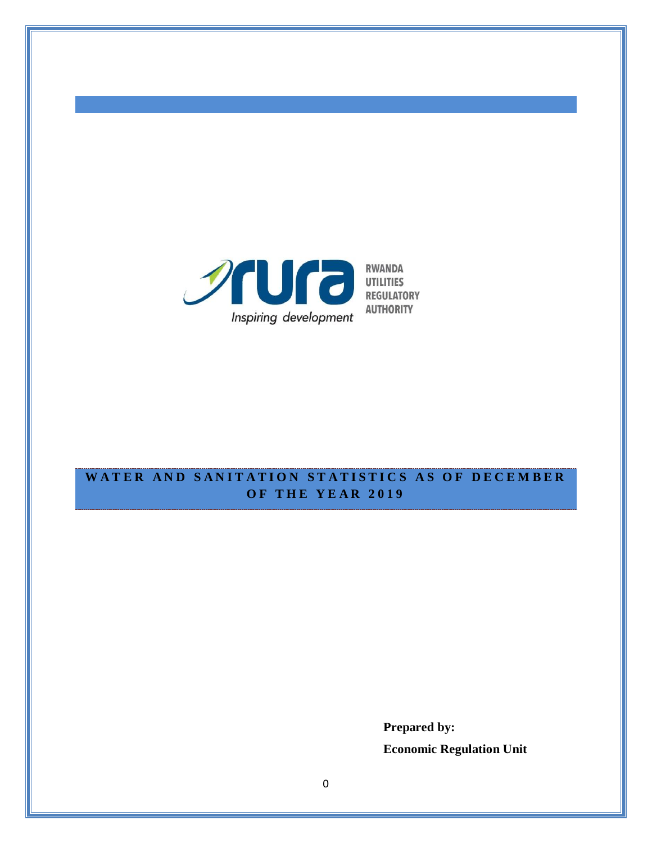

# WATER AND SANITATION STATISTICS AS OF DECEMBER **O F T H E Y E A R 201 9**

**Prepared by: Economic Regulation Unit**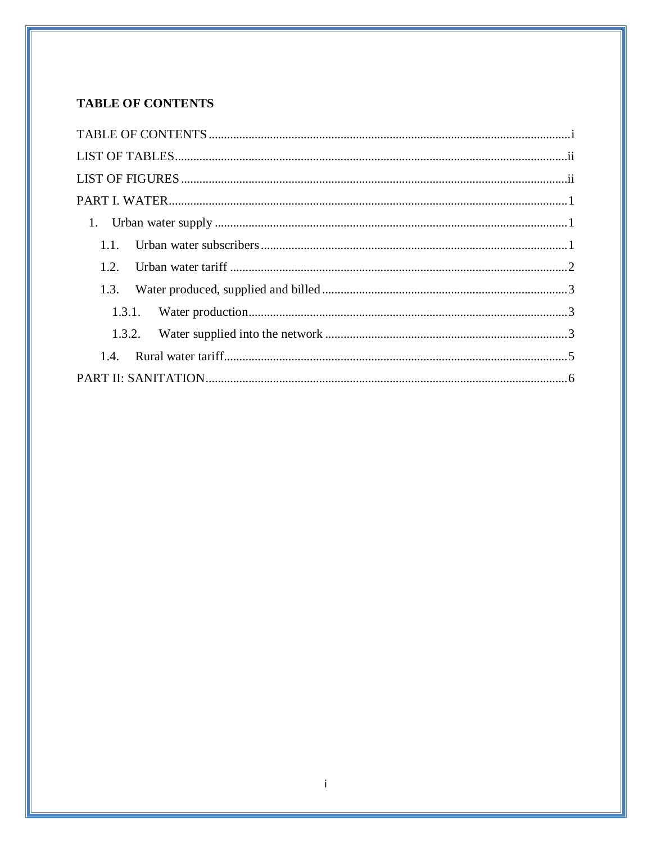# <span id="page-1-0"></span>**TABLE OF CONTENTS**

| 1.2  |  |
|------|--|
| 1.3. |  |
|      |  |
|      |  |
|      |  |
|      |  |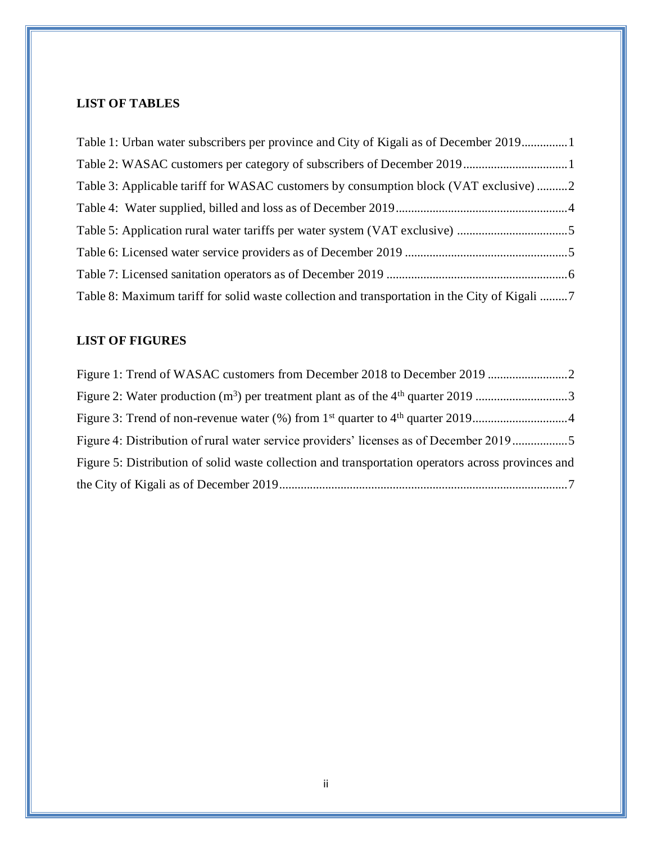## <span id="page-2-0"></span>**LIST OF TABLES**

| Table 1: Urban water subscribers per province and City of Kigali as of December 20191       |  |
|---------------------------------------------------------------------------------------------|--|
|                                                                                             |  |
| Table 3: Applicable tariff for WASAC customers by consumption block (VAT exclusive) 2       |  |
|                                                                                             |  |
|                                                                                             |  |
|                                                                                             |  |
|                                                                                             |  |
| Table 8: Maximum tariff for solid waste collection and transportation in the City of Kigali |  |

## <span id="page-2-1"></span>**LIST OF FIGURES**

| Figure 2: Water production $(m^3)$ per treatment plant as of the 4 <sup>th</sup> quarter 2019 3    |  |
|----------------------------------------------------------------------------------------------------|--|
|                                                                                                    |  |
| Figure 4: Distribution of rural water service providers' licenses as of December 20195             |  |
| Figure 5: Distribution of solid waste collection and transportation operators across provinces and |  |
|                                                                                                    |  |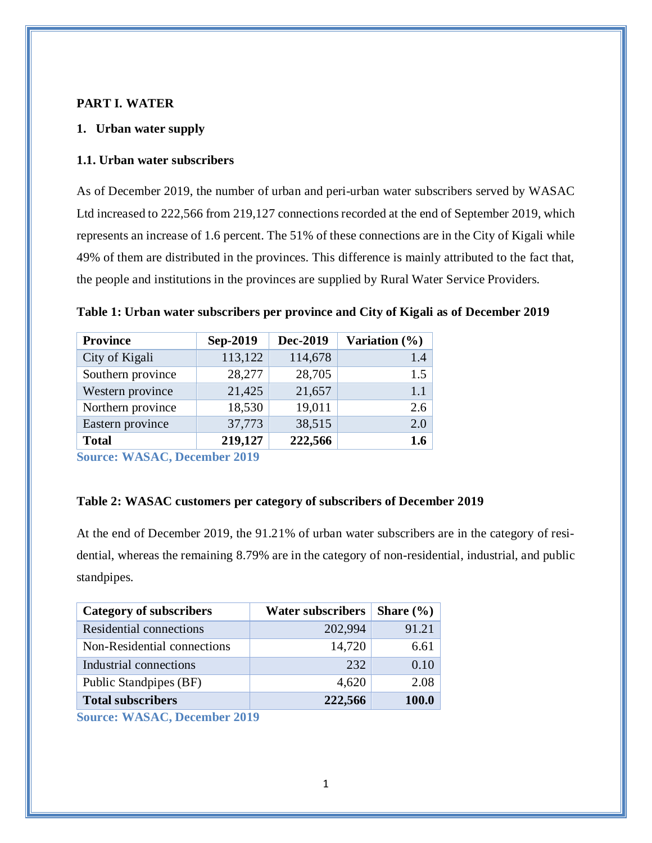#### <span id="page-3-0"></span>**PART I. WATER**

#### <span id="page-3-1"></span>**1. Urban water supply**

#### <span id="page-3-2"></span>**1.1. Urban water subscribers**

As of December 2019, the number of urban and peri-urban water subscribers served by WASAC Ltd increased to 222,566 from 219,127 connections recorded at the end of September 2019, which represents an increase of 1.6 percent. The 51% of these connections are in the City of Kigali while 49% of them are distributed in the provinces. This difference is mainly attributed to the fact that, the people and institutions in the provinces are supplied by Rural Water Service Providers.

<span id="page-3-3"></span>

| Table 1: Urban water subscribers per province and City of Kigali as of December 2019 |  |  |
|--------------------------------------------------------------------------------------|--|--|
|                                                                                      |  |  |

| <b>Province</b>   | Sep-2019 | Dec-2019 | Variation $(\%)$ |
|-------------------|----------|----------|------------------|
| City of Kigali    | 113,122  | 114,678  | 1.4              |
| Southern province | 28,277   | 28,705   | 1.5              |
| Western province  | 21,425   | 21,657   | 1.1              |
| Northern province | 18,530   | 19,011   | 2.6              |
| Eastern province  | 37,773   | 38,515   | 2.0              |
| <b>Total</b>      | 219,127  | 222,566  | 1.6              |

**Source: WASAC, December 2019**

#### <span id="page-3-4"></span>**Table 2: WASAC customers per category of subscribers of December 2019**

At the end of December 2019, the 91.21% of urban water subscribers are in the category of residential, whereas the remaining 8.79% are in the category of non-residential, industrial, and public standpipes.

| <b>Category of subscribers</b> | <b>Water subscribers</b> | Share $(\% )$ |
|--------------------------------|--------------------------|---------------|
| Residential connections        | 202,994                  | 91.21         |
| Non-Residential connections    | 14,720                   | 6.61          |
| Industrial connections         | 232                      | 0.10          |
| Public Standpipes (BF)         | 4,620                    | 2.08          |
| <b>Total subscribers</b>       | 222,566                  | 100.0         |

**Source: WASAC, December 2019**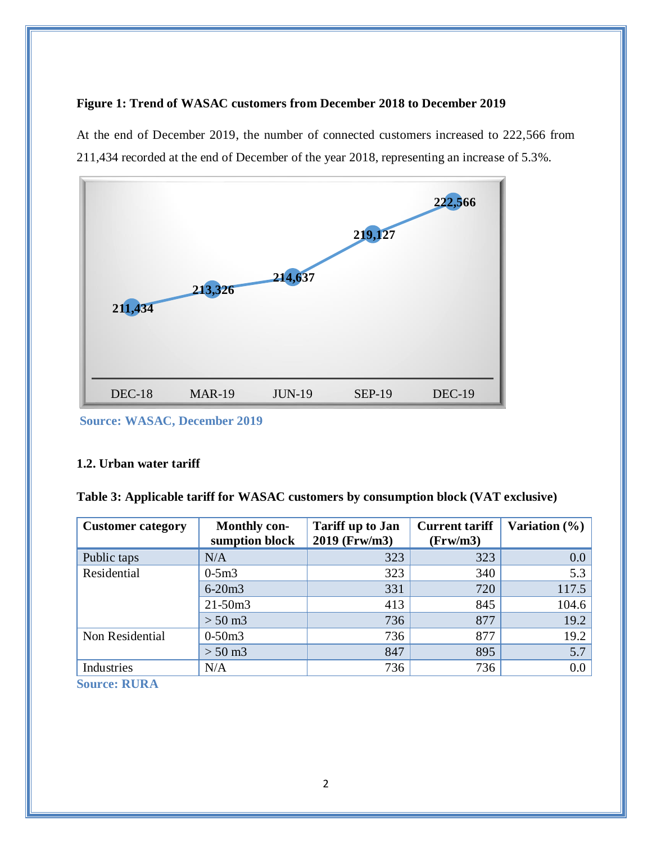## <span id="page-4-2"></span>**Figure 1: Trend of WASAC customers from December 2018 to December 2019**

At the end of December 2019, the number of connected customers increased to 222,566 from 211,434 recorded at the end of December of the year 2018, representing an increase of 5.3%.



**Source: WASAC, December 2019**

### <span id="page-4-0"></span>**1.2. Urban water tariff**

<span id="page-4-1"></span>**Table 3: Applicable tariff for WASAC customers by consumption block (VAT exclusive)**

| <b>Customer category</b> | <b>Monthly con-</b><br>sumption block | <b>Tariff up to Jan</b><br>2019 (Frw/m3) | <b>Current tariff</b><br>(Frw/m3) | Variation $(\% )$ |
|--------------------------|---------------------------------------|------------------------------------------|-----------------------------------|-------------------|
| Public taps              | N/A                                   | 323                                      | 323                               | 0.0               |
| Residential              | $0-5m3$                               | 323                                      | 340                               | 5.3               |
|                          | $6 - 20m3$                            | 331                                      | 720                               | 117.5             |
|                          | $21 - 50m3$                           | 413                                      | 845                               | 104.6             |
|                          | $> 50 \text{ m}$ 3                    | 736                                      | 877                               | 19.2              |
| Non Residential          | $0-50m3$                              | 736                                      | 877                               | 19.2              |
|                          | $> 50 \text{ m}$ 3                    | 847                                      | 895                               | 5.7               |
| Industries               | N/A                                   | 736                                      | 736                               | 0.0               |

**Source: RURA**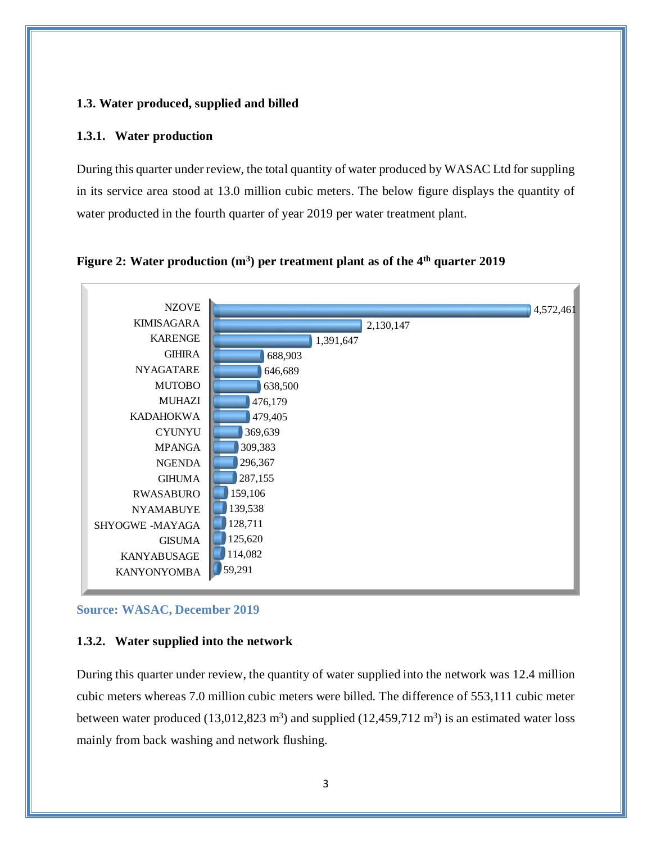### <span id="page-5-0"></span>**1.3. Water produced, supplied and billed**

#### <span id="page-5-1"></span>**1.3.1. Water production**

During this quarter under review, the total quantity of water produced by WASAC Ltd for suppling in its service area stood at 13.0 million cubic meters. The below figure displays the quantity of water producted in the fourth quarter of year 2019 per water treatment plant.

<span id="page-5-3"></span>



#### **Source: WASAC, December 2019**

#### <span id="page-5-2"></span>**1.3.2. Water supplied into the network**

During this quarter under review, the quantity of water supplied into the network was 12.4 million cubic meters whereas 7.0 million cubic meters were billed. The difference of 553,111 cubic meter between water produced  $(13,012,823 \text{ m}^3)$  and supplied  $(12,459,712 \text{ m}^3)$  is an estimated water loss mainly from back washing and network flushing.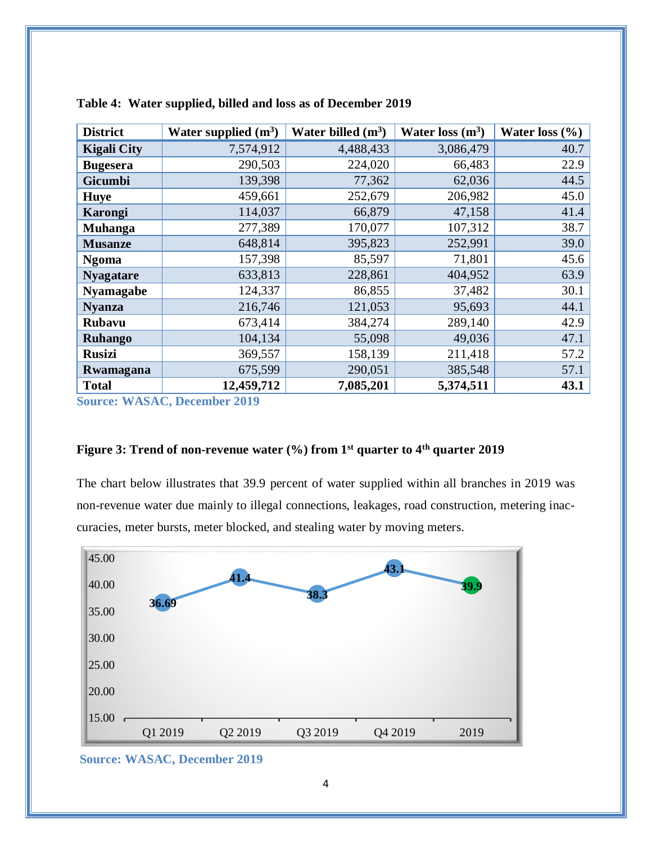| <b>District</b>    | Water supplied $(m^3)$ | Water billed $(m^3)$ | Water loss $(m^3)$ | Water loss $(\% )$ |
|--------------------|------------------------|----------------------|--------------------|--------------------|
| <b>Kigali City</b> | 7,574,912              | 4,488,433            | 3,086,479          | 40.7               |
| <b>Bugesera</b>    | 290,503                | 224,020              | 66,483             | 22.9               |
| <b>Gicumbi</b>     | 139,398                | 77,362               | 62,036             | 44.5               |
| <b>Huye</b>        | 459,661                | 252,679              | 206,982            | 45.0               |
| Karongi            | 114,037                | 66,879               | 47,158             | 41.4               |
| Muhanga            | 277,389                | 170,077              | 107,312            | 38.7               |
| <b>Musanze</b>     | 648,814                | 395,823              | 252,991            | 39.0               |
| <b>Ngoma</b>       | 157,398                | 85,597               | 71,801             | 45.6               |
| <b>Nyagatare</b>   | 633,813                | 228,861              | 404,952            | 63.9               |
| <b>Nyamagabe</b>   | 124,337                | 86,855               | 37,482             | 30.1               |
| <b>Nyanza</b>      | 216,746                | 121,053              | 95,693             | 44.1               |
| <b>Rubavu</b>      | 673,414                | 384,274              | 289,140            | 42.9               |
| <b>Ruhango</b>     | 104,134                | 55,098               | 49,036             | 47.1               |
| <b>Rusizi</b>      | 369,557                | 158,139              | 211,418            | 57.2               |
| Rwamagana          | 675,599                | 290,051              | 385,548            | 57.1               |
| <b>Total</b>       | 12,459,712             | 7,085,201            | 5,374,511          | 43.1               |

<span id="page-6-0"></span>

| Table 4: Water supplied, billed and loss as of December 2019 |  |
|--------------------------------------------------------------|--|
|--------------------------------------------------------------|--|

**Source: WASAC, December 2019**

#### <span id="page-6-1"></span>**Figure 3: Trend of non-revenue water (%) from 1 st quarter to 4th quarter 2019**

The chart below illustrates that 39.9 percent of water supplied within all branches in 2019 was non-revenue water due mainly to illegal connections, leakages, road construction, metering inaccuracies, meter bursts, meter blocked, and stealing water by moving meters.



**Source: WASAC, December 2019**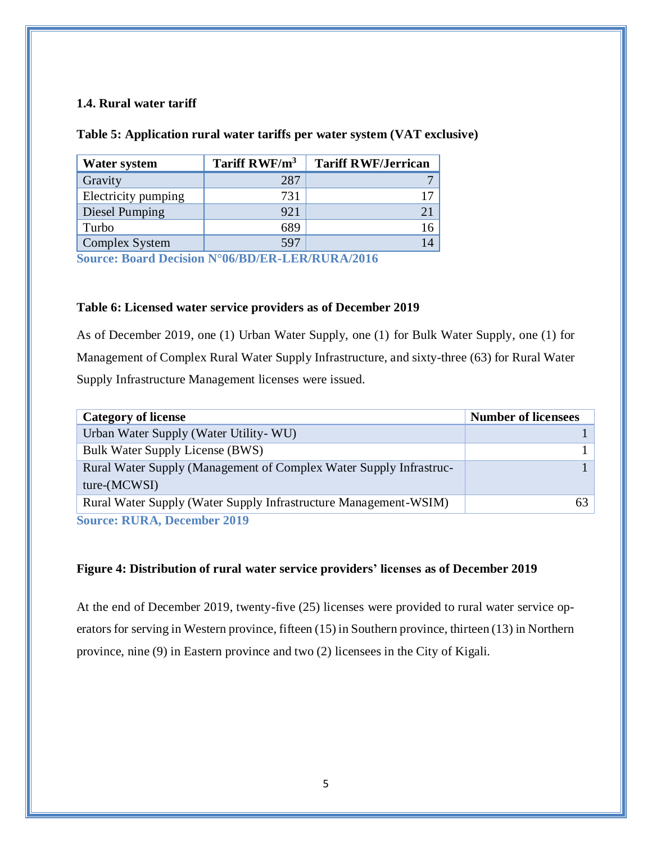### <span id="page-7-0"></span>**1.4. Rural water tariff**

#### <span id="page-7-1"></span>**Table 5: Application rural water tariffs per water system (VAT exclusive)**

| <b>Water system</b> | Tariff RWF/m <sup>3</sup> | <b>Tariff RWF/Jerrican</b> |
|---------------------|---------------------------|----------------------------|
| Gravity             | 287                       |                            |
| Electricity pumping | 731                       |                            |
| Diesel Pumping      | 921                       |                            |
| Turbo               | 689                       | 16                         |
| Complex System      | 597                       | 14                         |

**Source: Board Decision N°06/BD/ER-LER/RURA/2016**

#### <span id="page-7-2"></span>**Table 6: Licensed water service providers as of December 2019**

As of December 2019, one (1) Urban Water Supply, one (1) for Bulk Water Supply, one (1) for Management of Complex Rural Water Supply Infrastructure, and sixty-three (63) for Rural Water Supply Infrastructure Management licenses were issued.

| <b>Category of license</b>                                                          | <b>Number of licensees</b> |
|-------------------------------------------------------------------------------------|----------------------------|
| Urban Water Supply (Water Utility - WU)                                             |                            |
| <b>Bulk Water Supply License (BWS)</b>                                              |                            |
| Rural Water Supply (Management of Complex Water Supply Infrastruc-<br>$ture-MCWSI)$ |                            |
| Rural Water Supply (Water Supply Infrastructure Management-WSIM)                    | 63                         |
| <b>Source: RURA, December 2019</b>                                                  |                            |

#### <span id="page-7-3"></span>**Figure 4: Distribution of rural water service providers' licenses as of December 2019**

At the end of December 2019, twenty-five (25) licenses were provided to rural water service operators for serving in Western province, fifteen (15) in Southern province, thirteen (13) in Northern province, nine (9) in Eastern province and two (2) licensees in the City of Kigali.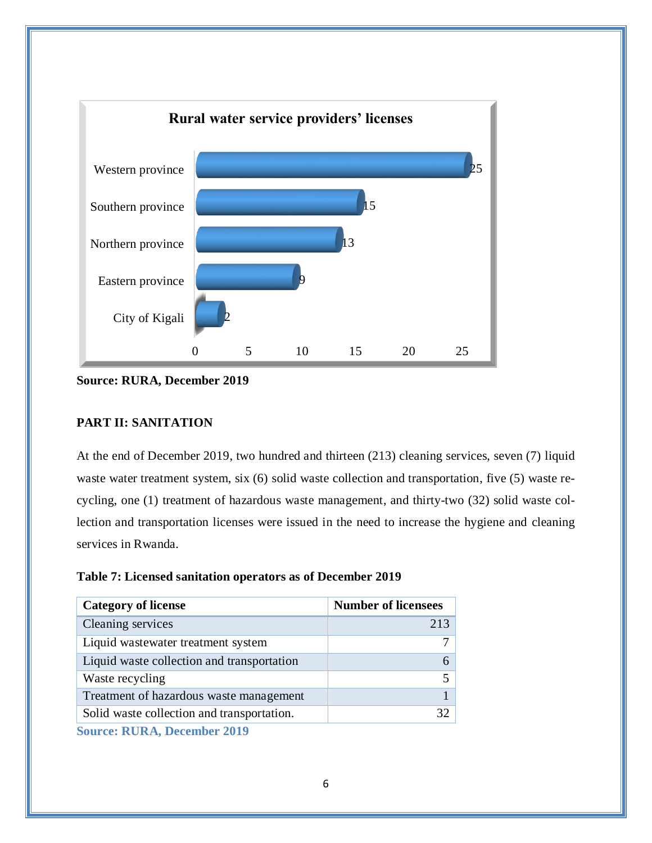

<span id="page-8-0"></span>**Source: RURA, December 2019**

## **PART II: SANITATION**

At the end of December 2019, two hundred and thirteen (213) cleaning services, seven (7) liquid waste water treatment system, six (6) solid waste collection and transportation, five (5) waste recycling, one (1) treatment of hazardous waste management, and thirty-two (32) solid waste collection and transportation licenses were issued in the need to increase the hygiene and cleaning services in Rwanda.

<span id="page-8-1"></span>

| Table 7: Licensed sanitation operators as of December 2019 |
|------------------------------------------------------------|
|------------------------------------------------------------|

| <b>Number of licensees</b> |
|----------------------------|
| 213                        |
|                            |
|                            |
|                            |
|                            |
| 32                         |
|                            |

**Source: RURA, December 2019**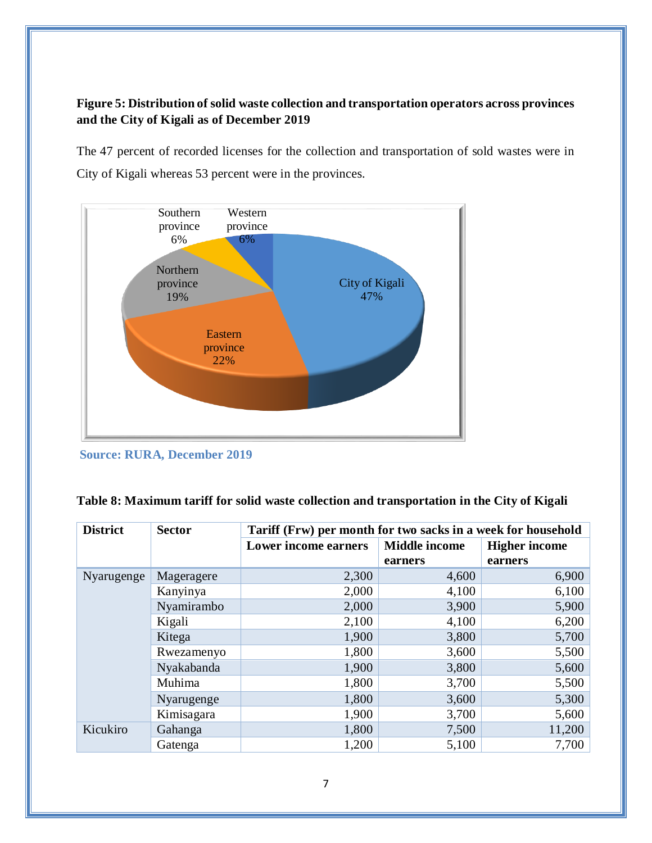## <span id="page-9-1"></span>**Figure 5: Distribution of solid waste collection and transportation operators across provinces and the City of Kigali as of December 2019**

The 47 percent of recorded licenses for the collection and transportation of sold wastes were in City of Kigali whereas 53 percent were in the provinces.



**Source: RURA, December 2019**

<span id="page-9-0"></span>

| Table 8: Maximum tariff for solid waste collection and transportation in the City of Kigali |  |  |  |
|---------------------------------------------------------------------------------------------|--|--|--|
|                                                                                             |  |  |  |

| <b>District</b> | <b>Sector</b> | Tariff (Frw) per month for two sacks in a week for household |                                 |                                 |
|-----------------|---------------|--------------------------------------------------------------|---------------------------------|---------------------------------|
|                 |               | <b>Lower income earners</b>                                  | <b>Middle income</b><br>earners | <b>Higher income</b><br>earners |
| Nyarugenge      | Mageragere    | 2,300                                                        | 4,600                           | 6,900                           |
|                 |               |                                                              |                                 |                                 |
|                 | Kanyinya      | 2,000                                                        | 4,100                           | 6,100                           |
|                 | Nyamirambo    | 2,000                                                        | 3,900                           | 5,900                           |
|                 | Kigali        | 2,100                                                        | 4,100                           | 6,200                           |
|                 | Kitega        | 1,900                                                        | 3,800                           | 5,700                           |
|                 | Rwezamenyo    | 1,800                                                        | 3,600                           | 5,500                           |
|                 | Nyakabanda    | 1,900                                                        | 3,800                           | 5,600                           |
|                 | Muhima        | 1,800                                                        | 3,700                           | 5,500                           |
|                 | Nyarugenge    | 1,800                                                        | 3,600                           | 5,300                           |
|                 | Kimisagara    | 1,900                                                        | 3,700                           | 5,600                           |
| Kicukiro        | Gahanga       | 1,800                                                        | 7,500                           | 11,200                          |
|                 | Gatenga       | 1,200                                                        | 5,100                           | 7,700                           |